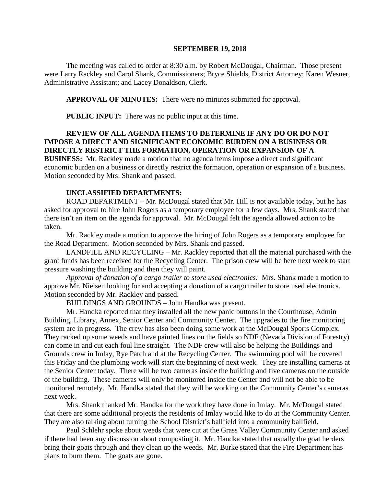#### **SEPTEMBER 19, 2018**

The meeting was called to order at 8:30 a.m. by Robert McDougal, Chairman. Those present were Larry Rackley and Carol Shank, Commissioners; Bryce Shields, District Attorney; Karen Wesner, Administrative Assistant; and Lacey Donaldson, Clerk.

**APPROVAL OF MINUTES:** There were no minutes submitted for approval.

 **PUBLIC INPUT:** There was no public input at this time.

#### **REVIEW OF ALL AGENDA ITEMS TO DETERMINE IF ANY DO OR DO NOT IMPOSE A DIRECT AND SIGNIFICANT ECONOMIC BURDEN ON A BUSINESS OR DIRECTLY RESTRICT THE FORMATION, OPERATION OR EXPANSION OF A**

**BUSINESS:** Mr. Rackley made a motion that no agenda items impose a direct and significant economic burden on a business or directly restrict the formation, operation or expansion of a business. Motion seconded by Mrs. Shank and passed.

## **UNCLASSIFIED DEPARTMENTS:**

ROAD DEPARTMENT – Mr. McDougal stated that Mr. Hill is not available today, but he has asked for approval to hire John Rogers as a temporary employee for a few days. Mrs. Shank stated that there isn't an item on the agenda for approval. Mr. McDougal felt the agenda allowed action to be taken.

Mr. Rackley made a motion to approve the hiring of John Rogers as a temporary employee for the Road Department. Motion seconded by Mrs. Shank and passed.

LANDFILL AND RECYCLING – Mr. Rackley reported that all the material purchased with the grant funds has been received for the Recycling Center. The prison crew will be here next week to start pressure washing the building and then they will paint.

*Approval of donation of a cargo trailer to store used electronics:* Mrs. Shank made a motion to approve Mr. Nielsen looking for and accepting a donation of a cargo trailer to store used electronics. Motion seconded by Mr. Rackley and passed.

BUILDINGS AND GROUNDS – John Handka was present.

Mr. Handka reported that they installed all the new panic buttons in the Courthouse, Admin Building, Library, Annex, Senior Center and Community Center. The upgrades to the fire monitoring system are in progress. The crew has also been doing some work at the McDougal Sports Complex. They racked up some weeds and have painted lines on the fields so NDF (Nevada Division of Forestry) can come in and cut each foul line straight. The NDF crew will also be helping the Buildings and Grounds crew in Imlay, Rye Patch and at the Recycling Center. The swimming pool will be covered this Friday and the plumbing work will start the beginning of next week. They are installing cameras at the Senior Center today. There will be two cameras inside the building and five cameras on the outside of the building. These cameras will only be monitored inside the Center and will not be able to be monitored remotely. Mr. Handka stated that they will be working on the Community Center's cameras next week.

Mrs. Shank thanked Mr. Handka for the work they have done in Imlay. Mr. McDougal stated that there are some additional projects the residents of Imlay would like to do at the Community Center. They are also talking about turning the School District's ballfield into a community ballfield.

Paul Schlehr spoke about weeds that were cut at the Grass Valley Community Center and asked if there had been any discussion about composting it. Mr. Handka stated that usually the goat herders bring their goats through and they clean up the weeds. Mr. Burke stated that the Fire Department has plans to burn them. The goats are gone.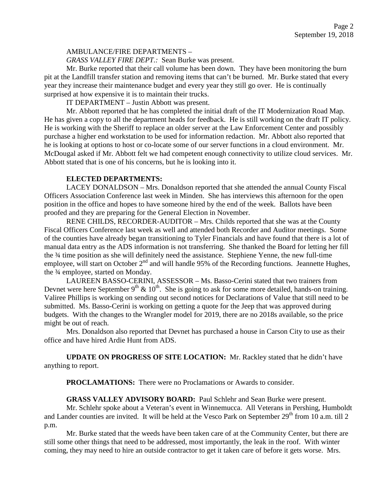## AMBULANCE/FIRE DEPARTMENTS –

*GRASS VALLEY FIRE DEPT.:* Sean Burke was present.

Mr. Burke reported that their call volume has been down. They have been monitoring the burn pit at the Landfill transfer station and removing items that can't be burned. Mr. Burke stated that every year they increase their maintenance budget and every year they still go over. He is continually surprised at how expensive it is to maintain their trucks.

IT DEPARTMENT – Justin Abbott was present.

Mr. Abbott reported that he has completed the initial draft of the IT Modernization Road Map. He has given a copy to all the department heads for feedback. He is still working on the draft IT policy. He is working with the Sheriff to replace an older server at the Law Enforcement Center and possibly purchase a higher end workstation to be used for information redaction. Mr. Abbott also reported that he is looking at options to host or co-locate some of our server functions in a cloud environment. Mr. McDougal asked if Mr. Abbott felt we had competent enough connectivity to utilize cloud services. Mr. Abbott stated that is one of his concerns, but he is looking into it.

## **ELECTED DEPARTMENTS:**

LACEY DONALDSON – Mrs. Donaldson reported that she attended the annual County Fiscal Officers Association Conference last week in Minden. She has interviews this afternoon for the open position in the office and hopes to have someone hired by the end of the week. Ballots have been proofed and they are preparing for the General Election in November.

RENE CHILDS, RECORDER-AUDITOR – Mrs. Childs reported that she was at the County Fiscal Officers Conference last week as well and attended both Recorder and Auditor meetings. Some of the counties have already began transitioning to Tyler Financials and have found that there is a lot of manual data entry as the ADS information is not transferring. She thanked the Board for letting her fill the ¾ time position as she will definitely need the assistance. Stephiene Yenne, the new full-time employee, will start on October 2<sup>nd</sup> and will handle 95% of the Recording functions. Jeannette Hughes, the <sup>3</sup>/4 employee, started on Monday.

LAUREEN BASSO-CERINI, ASSESSOR – Ms. Basso-Cerini stated that two trainers from Devnet were here September  $9<sup>th</sup>$  &  $10<sup>th</sup>$ . She is going to ask for some more detailed, hands-on training. Valiree Phillips is working on sending out second notices for Declarations of Value that still need to be submitted. Ms. Basso-Cerini is working on getting a quote for the Jeep that was approved during budgets. With the changes to the Wrangler model for 2019, there are no 2018s available, so the price might be out of reach.

Mrs. Donaldson also reported that Devnet has purchased a house in Carson City to use as their office and have hired Ardie Hunt from ADS.

**UPDATE ON PROGRESS OF SITE LOCATION:** Mr. Rackley stated that he didn't have anything to report.

**PROCLAMATIONS:** There were no Proclamations or Awards to consider.

**GRASS VALLEY ADVISORY BOARD:** Paul Schlehr and Sean Burke were present.

Mr. Schlehr spoke about a Veteran's event in Winnemucca. All Veterans in Pershing, Humboldt and Lander counties are invited. It will be held at the Vesco Park on September 29<sup>th</sup> from 10 a.m. till 2 p.m.

Mr. Burke stated that the weeds have been taken care of at the Community Center, but there are still some other things that need to be addressed, most importantly, the leak in the roof. With winter coming, they may need to hire an outside contractor to get it taken care of before it gets worse. Mrs.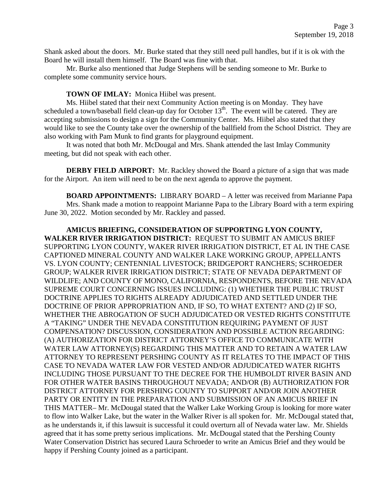Shank asked about the doors. Mr. Burke stated that they still need pull handles, but if it is ok with the Board he will install them himself. The Board was fine with that.

Mr. Burke also mentioned that Judge Stephens will be sending someone to Mr. Burke to complete some community service hours.

## **TOWN OF IMLAY:** Monica Hiibel was present.

Ms. Hiibel stated that their next Community Action meeting is on Monday. They have scheduled a town/baseball field clean-up day for October  $13<sup>th</sup>$ . The event will be catered. They are accepting submissions to design a sign for the Community Center. Ms. Hiibel also stated that they would like to see the County take over the ownership of the ballfield from the School District. They are also working with Pam Munk to find grants for playground equipment.

It was noted that both Mr. McDougal and Mrs. Shank attended the last Imlay Community meeting, but did not speak with each other.

**DERBY FIELD AIRPORT:** Mr. Rackley showed the Board a picture of a sign that was made for the Airport. An item will need to be on the next agenda to approve the payment.

**BOARD APPOINTMENTS:** LIBRARY BOARD – A letter was received from Marianne Papa Mrs. Shank made a motion to reappoint Marianne Papa to the Library Board with a term expiring June 30, 2022. Motion seconded by Mr. Rackley and passed.

## **AMICUS BRIEFING, CONSIDERATION OF SUPPORTING LYON COUNTY, WALKER RIVER IRRIGATION DISTRICT:** REQUEST TO SUBMIT AN AMICUS BRIEF SUPPORTING LYON COUNTY, WAKER RIVER IRRIGATION DISTRICT, ET AL IN THE CASE CAPTIONED MINERAL COUNTY AND WALKER LAKE WORKING GROUP, APPELLANTS VS. LYON COUNTY; CENTENNIAL LIVESTOCK; BRIDGEPORT RANCHERS; SCHROEDER GROUP; WALKER RIVER IRRIGATION DISTRICT; STATE OF NEVADA DEPARTMENT OF WILDLIFE; AND COUNTY OF MONO, CALIFORNIA, RESPONDENTS, BEFORE THE NEVADA SUPREME COURT CONCERNING ISSUES INCLUDING: (1) WHETHER THE PUBLIC TRUST DOCTRINE APPLIES TO RIGHTS ALREADY ADJUDICATED AND SETTLED UNDER THE DOCTRINE OF PRIOR APPROPRIATION AND, IF SO, TO WHAT EXTENT? AND (2) IF SO, WHETHER THE ABROGATION OF SUCH ADJUDICATED OR VESTED RIGHTS CONSTITUTE A "TAKING" UNDER THE NEVADA CONSTITUTION REQUIRING PAYMENT OF JUST COMPENSATION? DISCUSSION, CONSIDERATION AND POSSIBLE ACTION REGARDING: (A) AUTHORIZATION FOR DISTRICT ATTORNEY'S OFFICE TO COMMUNICATE WITH WATER LAW ATTORNEY(S) REGARDING THIS MATTER AND TO RETAIN A WATER LAW ATTORNEY TO REPRESENT PERSHING COUNTY AS IT RELATES TO THE IMPACT OF THIS CASE TO NEVADA WATER LAW FOR VESTED AND/OR ADJUDICATED WATER RIGHTS INCLUDING THOSE PURSUANT TO THE DECREE FOR THE HUMBOLDT RIVER BASIN AND FOR OTHER WATER BASINS THROUGHOUT NEVADA; AND/OR (B) AUTHORIZATION FOR DISTRICT ATTORNEY FOR PERSHING COUNTY TO SUPPORT AND/OR JOIN ANOTHER PARTY OR ENTITY IN THE PREPARATION AND SUBMISSION OF AN AMICUS BRIEF IN THIS MATTER– Mr. McDougal stated that the Walker Lake Working Group is looking for more water to flow into Walker Lake, but the water in the Walker River is all spoken for. Mr. McDougal stated that, as he understands it, if this lawsuit is successful it could overturn all of Nevada water law. Mr. Shields agreed that it has some pretty serious implications. Mr. McDougal stated that the Pershing County Water Conservation District has secured Laura Schroeder to write an Amicus Brief and they would be happy if Pershing County joined as a participant.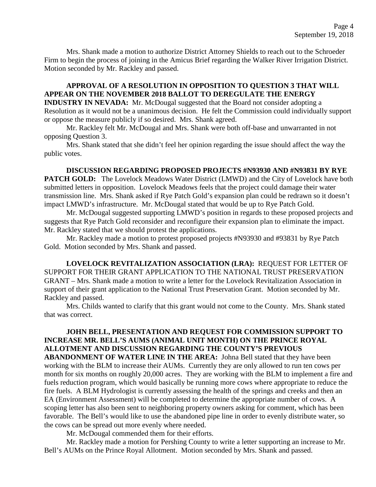Mrs. Shank made a motion to authorize District Attorney Shields to reach out to the Schroeder Firm to begin the process of joining in the Amicus Brief regarding the Walker River Irrigation District. Motion seconded by Mr. Rackley and passed.

## **APPROVAL OF A RESOLUTION IN OPPOSITION TO QUESTION 3 THAT WILL APPEAR ON THE NOVEMBER 2018 BALLOT TO DEREGULATE THE ENERGY**

**INDUSTRY IN NEVADA:** Mr. McDougal suggested that the Board not consider adopting a Resolution as it would not be a unanimous decision. He felt the Commission could individually support or oppose the measure publicly if so desired. Mrs. Shank agreed.

Mr. Rackley felt Mr. McDougal and Mrs. Shank were both off-base and unwarranted in not opposing Question 3.

Mrs. Shank stated that she didn't feel her opinion regarding the issue should affect the way the public votes.

**DISCUSSION REGARDING PROPOSED PROJECTS #N93930 AND #N93831 BY RYE PATCH GOLD:** The Lovelock Meadows Water District (LMWD) and the City of Lovelock have both submitted letters in opposition. Lovelock Meadows feels that the project could damage their water transmission line. Mrs. Shank asked if Rye Patch Gold's expansion plan could be redrawn so it doesn't impact LMWD's infrastructure. Mr. McDougal stated that would be up to Rye Patch Gold.

Mr. McDougal suggested supporting LMWD's position in regards to these proposed projects and suggests that Rye Patch Gold reconsider and reconfigure their expansion plan to eliminate the impact. Mr. Rackley stated that we should protest the applications.

Mr. Rackley made a motion to protest proposed projects #N93930 and #93831 by Rye Patch Gold. Motion seconded by Mrs. Shank and passed.

**LOVELOCK REVITALIZATION ASSOCIATION (LRA):** REQUEST FOR LETTER OF SUPPORT FOR THEIR GRANT APPLICATION TO THE NATIONAL TRUST PRESERVATION GRANT – Mrs. Shank made a motion to write a letter for the Lovelock Revitalization Association in support of their grant application to the National Trust Preservation Grant. Motion seconded by Mr. Rackley and passed.

Mrs. Childs wanted to clarify that this grant would not come to the County. Mrs. Shank stated that was correct.

## **JOHN BELL, PRESENTATION AND REQUEST FOR COMMISSION SUPPORT TO INCREASE MR. BELL'S AUMS (ANIMAL UNIT MONTH) ON THE PRINCE ROYAL ALLOTMENT AND DISCUSSION REGARDING THE COUNTY'S PREVIOUS ABANDONMENT OF WATER LINE IN THE AREA:** Johna Bell stated that they have been working with the BLM to increase their AUMs. Currently they are only allowed to run ten cows per month for six months on roughly 20,000 acres. They are working with the BLM to implement a fire and fuels reduction program, which would basically be running more cows where appropriate to reduce the fire fuels. A BLM Hydrologist is currently assessing the health of the springs and creeks and then an EA (Environment Assessment) will be completed to determine the appropriate number of cows. A scoping letter has also been sent to neighboring property owners asking for comment, which has been favorable. The Bell's would like to use the abandoned pipe line in order to evenly distribute water, so the cows can be spread out more evenly where needed.

Mr. McDougal commended them for their efforts.

Mr. Rackley made a motion for Pershing County to write a letter supporting an increase to Mr. Bell's AUMs on the Prince Royal Allotment. Motion seconded by Mrs. Shank and passed.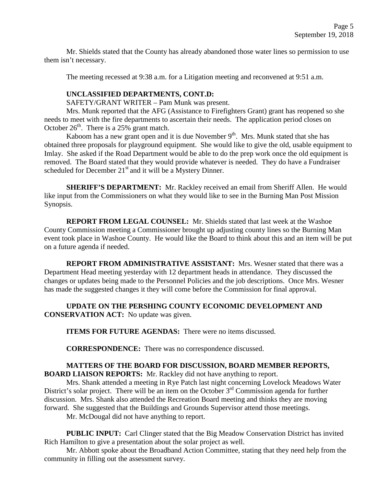Mr. Shields stated that the County has already abandoned those water lines so permission to use them isn't necessary.

The meeting recessed at 9:38 a.m. for a Litigation meeting and reconvened at 9:51 a.m.

## **UNCLASSIFIED DEPARTMENTS, CONT.D:**

SAFETY/GRANT WRITER – Pam Munk was present.

Mrs. Munk reported that the AFG (Assistance to Firefighters Grant) grant has reopened so she needs to meet with the fire departments to ascertain their needs. The application period closes on October  $26<sup>th</sup>$ . There is a 25% grant match.

Kaboom has a new grant open and it is due November  $9<sup>th</sup>$ . Mrs. Munk stated that she has obtained three proposals for playground equipment. She would like to give the old, usable equipment to Imlay. She asked if the Road Department would be able to do the prep work once the old equipment is removed. The Board stated that they would provide whatever is needed. They do have a Fundraiser scheduled for December  $21<sup>st</sup>$  and it will be a Mystery Dinner.

**SHERIFF'S DEPARTMENT:** Mr. Rackley received an email from Sheriff Allen. He would like input from the Commissioners on what they would like to see in the Burning Man Post Mission Synopsis.

**REPORT FROM LEGAL COUNSEL:** Mr. Shields stated that last week at the Washoe County Commission meeting a Commissioner brought up adjusting county lines so the Burning Man event took place in Washoe County. He would like the Board to think about this and an item will be put on a future agenda if needed.

**REPORT FROM ADMINISTRATIVE ASSISTANT:** Mrs. Wesner stated that there was a Department Head meeting yesterday with 12 department heads in attendance. They discussed the changes or updates being made to the Personnel Policies and the job descriptions. Once Mrs. Wesner has made the suggested changes it they will come before the Commission for final approval.

**UPDATE ON THE PERSHING COUNTY ECONOMIC DEVELOPMENT AND CONSERVATION ACT:** No update was given.

**ITEMS FOR FUTURE AGENDAS:** There were no items discussed.

**CORRESPONDENCE:** There was no correspondence discussed.

# **MATTERS OF THE BOARD FOR DISCUSSION, BOARD MEMBER REPORTS,**

**BOARD LIAISON REPORTS:** Mr. Rackley did not have anything to report.

Mrs. Shank attended a meeting in Rye Patch last night concerning Lovelock Meadows Water District's solar project. There will be an item on the October  $3<sup>rd</sup>$  Commission agenda for further discussion. Mrs. Shank also attended the Recreation Board meeting and thinks they are moving forward. She suggested that the Buildings and Grounds Supervisor attend those meetings.

Mr. McDougal did not have anything to report.

**PUBLIC INPUT:** Carl Clinger stated that the Big Meadow Conservation District has invited Rich Hamilton to give a presentation about the solar project as well.

Mr. Abbott spoke about the Broadband Action Committee, stating that they need help from the community in filling out the assessment survey.